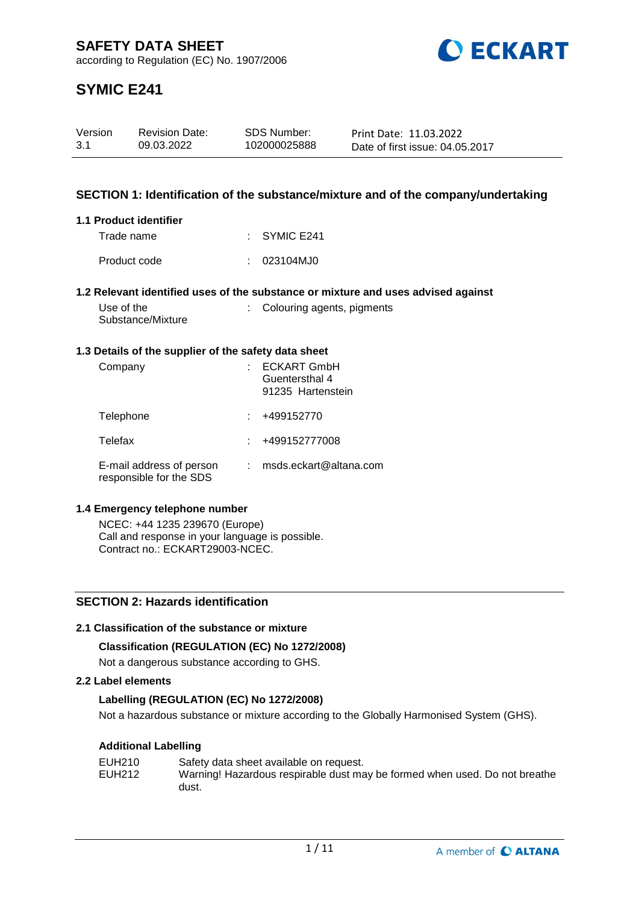

# **SYMIC E241**

| Version | <b>Revision Date:</b> | SDS Number:  | Print Date: 11.03.2022          |
|---------|-----------------------|--------------|---------------------------------|
| 3.1     | 09.03.2022            | 102000025888 | Date of first issue: 04.05.2017 |

### **SECTION 1: Identification of the substance/mixture and of the company/undertaking**

: Colouring agents, pigments

#### **1.1 Product identifier**

| Trade name   | $\therefore$ SYMIC E241 |
|--------------|-------------------------|
| Product code | : 023104MJ0             |

#### **1.2 Relevant identified uses of the substance or mixture and uses advised against**

| Use of the        |  |
|-------------------|--|
| Substance/Mixture |  |

#### **1.3 Details of the supplier of the safety data sheet**

| Company                                             | <b>ECKART GmbH</b><br>Guentersthal 4<br>91235 Hartenstein |
|-----------------------------------------------------|-----------------------------------------------------------|
| Telephone                                           | +499152770                                                |
| Telefax                                             | +499152777008                                             |
| E-mail address of person<br>responsible for the SDS | msds.eckart@altana.com                                    |

#### **1.4 Emergency telephone number**

NCEC: +44 1235 239670 (Europe) Call and response in your language is possible. Contract no.: ECKART29003-NCEC.

# **SECTION 2: Hazards identification**

#### **2.1 Classification of the substance or mixture**

#### **Classification (REGULATION (EC) No 1272/2008)**

Not a dangerous substance according to GHS.

#### **2.2 Label elements**

#### **Labelling (REGULATION (EC) No 1272/2008)**

Not a hazardous substance or mixture according to the Globally Harmonised System (GHS).

#### **Additional Labelling**

| EUH210 | Safety data sheet available on request.                                    |
|--------|----------------------------------------------------------------------------|
| EUH212 | Warning! Hazardous respirable dust may be formed when used. Do not breathe |
|        | dust.                                                                      |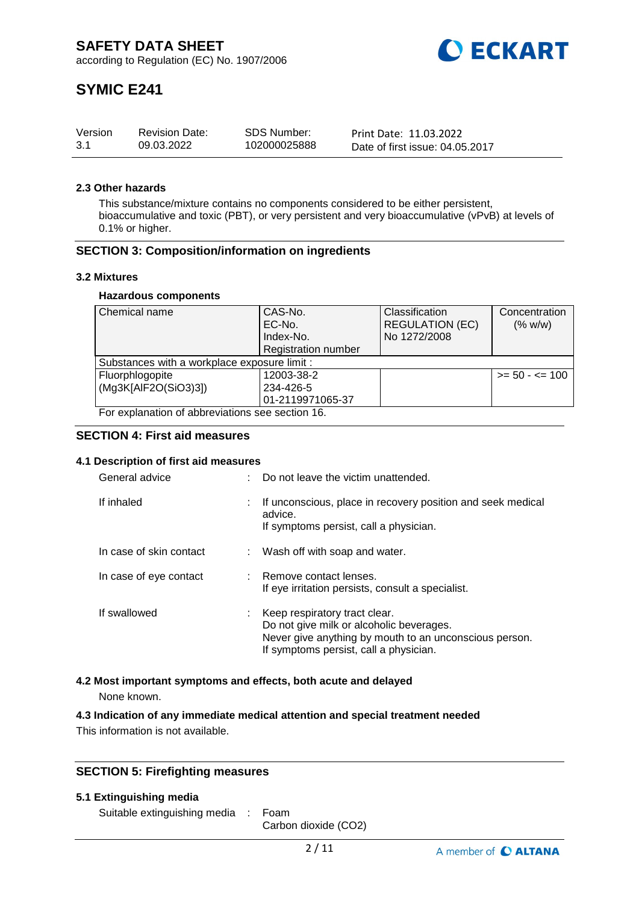

# **SYMIC E241**

| Version | <b>Revision Date:</b> | <b>SDS Number:</b> | Print Date: 11.03.2022          |
|---------|-----------------------|--------------------|---------------------------------|
| -3.1    | 09.03.2022            | 102000025888       | Date of first issue: 04.05.2017 |

#### **2.3 Other hazards**

This substance/mixture contains no components considered to be either persistent, bioaccumulative and toxic (PBT), or very persistent and very bioaccumulative (vPvB) at levels of 0.1% or higher.

#### **SECTION 3: Composition/information on ingredients**

#### **3.2 Mixtures**

#### **Hazardous components**

| Chemical name                                    | CAS-No.                    | Classification         | Concentration     |  |  |
|--------------------------------------------------|----------------------------|------------------------|-------------------|--|--|
|                                                  | EC-No.                     | <b>REGULATION (EC)</b> | (% w/w)           |  |  |
|                                                  | Index-No.                  | No 1272/2008           |                   |  |  |
|                                                  | <b>Registration number</b> |                        |                   |  |  |
| Substances with a workplace exposure limit :     |                            |                        |                   |  |  |
| Fluorphlogopite                                  | 12003-38-2                 |                        | $>= 50 - 5 = 100$ |  |  |
| (Mg3K[AlF2O(SiO3)3])                             | 234-426-5                  |                        |                   |  |  |
|                                                  | 01-2119971065-37           |                        |                   |  |  |
| For explanation of abbreviations see section 16. |                            |                        |                   |  |  |

#### **SECTION 4: First aid measures**

#### **4.1 Description of first aid measures**

| General advice          | Do not leave the victim unattended.                                                                                                                                           |
|-------------------------|-------------------------------------------------------------------------------------------------------------------------------------------------------------------------------|
| If inhaled              | If unconscious, place in recovery position and seek medical<br>advice.<br>If symptoms persist, call a physician.                                                              |
| In case of skin contact | : Wash off with soap and water.                                                                                                                                               |
| In case of eye contact  | : Remove contact lenses.<br>If eye irritation persists, consult a specialist.                                                                                                 |
| If swallowed            | Keep respiratory tract clear.<br>Do not give milk or alcoholic beverages.<br>Never give anything by mouth to an unconscious person.<br>If symptoms persist, call a physician. |

#### **4.2 Most important symptoms and effects, both acute and delayed**

None known.

#### **4.3 Indication of any immediate medical attention and special treatment needed**

This information is not available.

### **SECTION 5: Firefighting measures**

#### **5.1 Extinguishing media**

Suitable extinguishing media : Foam

Carbon dioxide (CO2)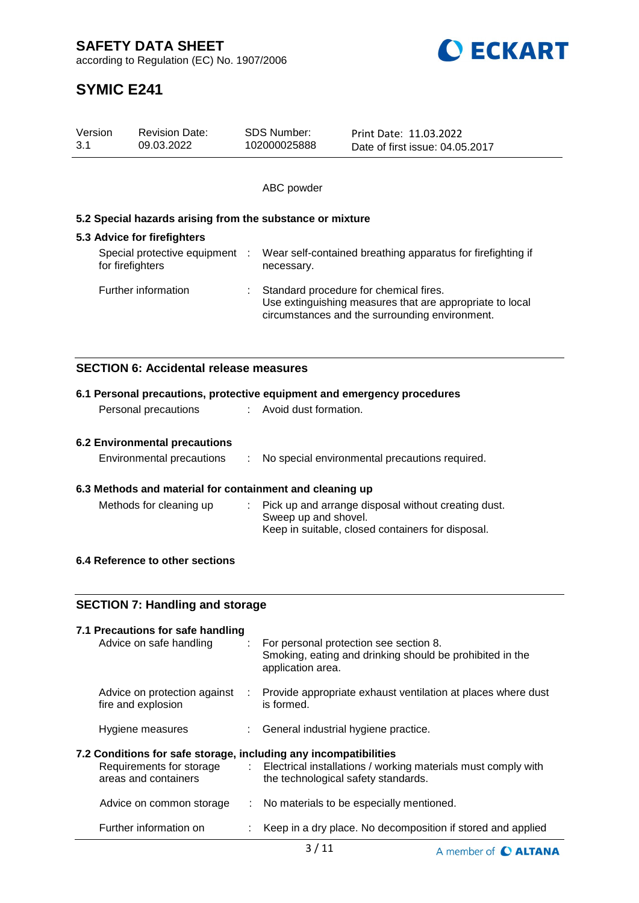**SAFETY DATA SHEET**

according to Regulation (EC) No. 1907/2006



# **SYMIC E241**

| Version<br>3.1 |                  | <b>Revision Date:</b><br>09.03.2022                       | <b>SDS Number:</b><br>102000025888 | Print Date: 11.03.2022<br>Date of first issue: 04.05.2017                                                                                            |
|----------------|------------------|-----------------------------------------------------------|------------------------------------|------------------------------------------------------------------------------------------------------------------------------------------------------|
|                |                  |                                                           |                                    |                                                                                                                                                      |
|                |                  |                                                           | ABC powder                         |                                                                                                                                                      |
|                |                  | 5.2 Special hazards arising from the substance or mixture |                                    |                                                                                                                                                      |
|                |                  | 5.3 Advice for firefighters                               |                                    |                                                                                                                                                      |
|                | for firefighters | Special protective equipment                              | necessary.                         | Wear self-contained breathing apparatus for firefighting if                                                                                          |
|                |                  | Further information                                       |                                    | Standard procedure for chemical fires.<br>Use extinguishing measures that are appropriate to local<br>circumstances and the surrounding environment. |
|                |                  | <b>SECTION 6: Accidental release measures</b>             |                                    |                                                                                                                                                      |
|                |                  |                                                           |                                    |                                                                                                                                                      |
|                |                  | Personal precautions                                      | Avoid dust formation.              | 6.1 Personal precautions, protective equipment and emergency procedures                                                                              |
|                |                  |                                                           |                                    |                                                                                                                                                      |
|                |                  | <b>6.2 Environmental precautions</b>                      |                                    |                                                                                                                                                      |
|                |                  | Environmental precautions                                 |                                    | No special environmental precautions required.                                                                                                       |
|                |                  | 6.3 Methods and material for containment and cleaning up  |                                    |                                                                                                                                                      |
|                |                  | Methods for cleaning up                                   | Sweep up and shovel.               | Pick up and arrange disposal without creating dust.<br>Keep in suitable, closed containers for disposal.                                             |
|                |                  | 6.4 Reference to other sections                           |                                    |                                                                                                                                                      |
|                |                  | <b>SECTION 7: Handling and storage</b>                    |                                    |                                                                                                                                                      |
|                |                  | 7.1 Precautions for safe handling                         |                                    |                                                                                                                                                      |
|                |                  | Advice on safe handling                                   | application area.                  | For personal protection see section 8.<br>Smoking, eating and drinking should be prohibited in the                                                   |
|                |                  | Advice on protection against<br>fire and explosion        | is formed.                         | Provide appropriate exhaust ventilation at places where dust                                                                                         |

**7.2 Conditions for safe storage, including any incompatibilities**

Hygiene measures : General industrial hygiene practice.

| <b></b> senaments for ours storage, melading any moonipationmos<br>Requirements for storage<br>areas and containers |  | Electrical installations / working materials must comply with<br>the technological safety standards. |
|---------------------------------------------------------------------------------------------------------------------|--|------------------------------------------------------------------------------------------------------|
| Advice on common storage                                                                                            |  | : No materials to be especially mentioned.                                                           |
| Further information on                                                                                              |  | : Keep in a dry place. No decomposition if stored and applied                                        |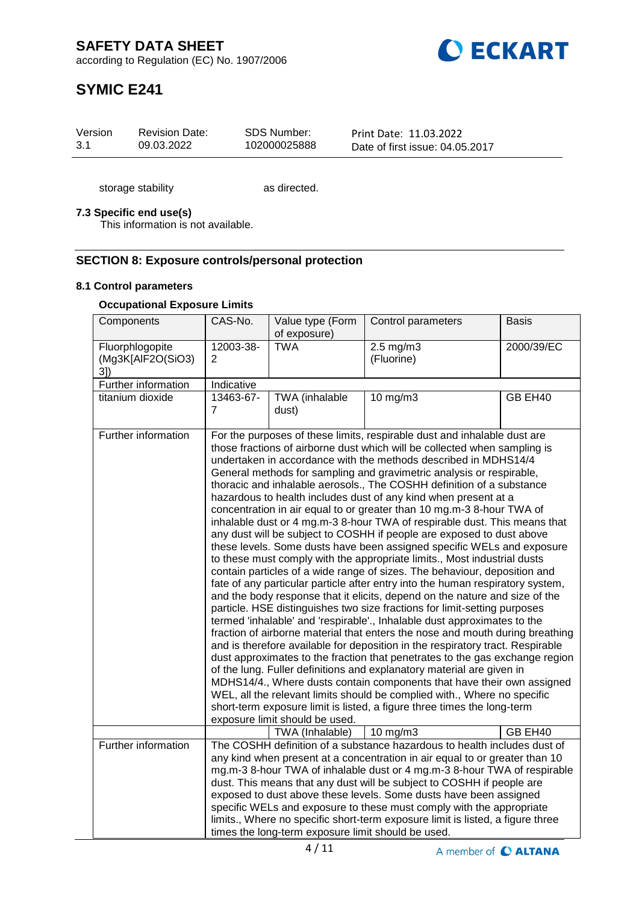

# **SYMIC E241**

| Version | <b>Revision Date:</b> | SDS Number:  | Print Date: 11.03.2022          |
|---------|-----------------------|--------------|---------------------------------|
| 3.1     | 09.03.2022            | 102000025888 | Date of first issue: 04.05.2017 |

storage stability as directed.

### **7.3 Specific end use(s)**

This information is not available.

### **SECTION 8: Exposure controls/personal protection**

#### **8.1 Control parameters**

### **Occupational Exposure Limits**

| Components                                 | CAS-No.                     | Value type (Form<br>of exposure)                   | Control parameters                                                                                                                                                                                                                                                                                                                                                                                                                                                                                                                                                                                                                                                                                                                                                                                                                                                                                                                                                                                                                                                                                                                                                                                                                                                                                                                                                                                                                                                                                                                                                                                                                                                                                                                                                                                                         | <b>Basis</b> |
|--------------------------------------------|-----------------------------|----------------------------------------------------|----------------------------------------------------------------------------------------------------------------------------------------------------------------------------------------------------------------------------------------------------------------------------------------------------------------------------------------------------------------------------------------------------------------------------------------------------------------------------------------------------------------------------------------------------------------------------------------------------------------------------------------------------------------------------------------------------------------------------------------------------------------------------------------------------------------------------------------------------------------------------------------------------------------------------------------------------------------------------------------------------------------------------------------------------------------------------------------------------------------------------------------------------------------------------------------------------------------------------------------------------------------------------------------------------------------------------------------------------------------------------------------------------------------------------------------------------------------------------------------------------------------------------------------------------------------------------------------------------------------------------------------------------------------------------------------------------------------------------------------------------------------------------------------------------------------------------|--------------|
| Fluorphlogopite<br>(Mg3K[AlF2O(SiO3)<br>3] | 12003-38-<br>$\overline{2}$ | <b>TWA</b>                                         | $2.5 \text{ mg/m}$ 3<br>(Fluorine)                                                                                                                                                                                                                                                                                                                                                                                                                                                                                                                                                                                                                                                                                                                                                                                                                                                                                                                                                                                                                                                                                                                                                                                                                                                                                                                                                                                                                                                                                                                                                                                                                                                                                                                                                                                         | 2000/39/EC   |
| Further information                        | Indicative                  |                                                    |                                                                                                                                                                                                                                                                                                                                                                                                                                                                                                                                                                                                                                                                                                                                                                                                                                                                                                                                                                                                                                                                                                                                                                                                                                                                                                                                                                                                                                                                                                                                                                                                                                                                                                                                                                                                                            |              |
| titanium dioxide                           | 13463-67-<br>$\overline{7}$ | TWA (inhalable<br>dust)                            | $10$ mg/m $3$                                                                                                                                                                                                                                                                                                                                                                                                                                                                                                                                                                                                                                                                                                                                                                                                                                                                                                                                                                                                                                                                                                                                                                                                                                                                                                                                                                                                                                                                                                                                                                                                                                                                                                                                                                                                              | GB EH40      |
| Further information                        |                             | exposure limit should be used.<br>TWA (Inhalable)  | For the purposes of these limits, respirable dust and inhalable dust are<br>those fractions of airborne dust which will be collected when sampling is<br>undertaken in accordance with the methods described in MDHS14/4<br>General methods for sampling and gravimetric analysis or respirable,<br>thoracic and inhalable aerosols., The COSHH definition of a substance<br>hazardous to health includes dust of any kind when present at a<br>concentration in air equal to or greater than 10 mg.m-3 8-hour TWA of<br>inhalable dust or 4 mg.m-3 8-hour TWA of respirable dust. This means that<br>any dust will be subject to COSHH if people are exposed to dust above<br>these levels. Some dusts have been assigned specific WELs and exposure<br>to these must comply with the appropriate limits., Most industrial dusts<br>contain particles of a wide range of sizes. The behaviour, deposition and<br>fate of any particular particle after entry into the human respiratory system,<br>and the body response that it elicits, depend on the nature and size of the<br>particle. HSE distinguishes two size fractions for limit-setting purposes<br>termed 'inhalable' and 'respirable'., Inhalable dust approximates to the<br>fraction of airborne material that enters the nose and mouth during breathing<br>and is therefore available for deposition in the respiratory tract. Respirable<br>dust approximates to the fraction that penetrates to the gas exchange region<br>of the lung. Fuller definitions and explanatory material are given in<br>MDHS14/4., Where dusts contain components that have their own assigned<br>WEL, all the relevant limits should be complied with., Where no specific<br>short-term exposure limit is listed, a figure three times the long-term<br>$10 \text{ mg/m}$ | GB EH40      |
| Further information                        |                             | times the long-term exposure limit should be used. | The COSHH definition of a substance hazardous to health includes dust of<br>any kind when present at a concentration in air equal to or greater than 10<br>mg.m-3 8-hour TWA of inhalable dust or 4 mg.m-3 8-hour TWA of respirable<br>dust. This means that any dust will be subject to COSHH if people are<br>exposed to dust above these levels. Some dusts have been assigned<br>specific WELs and exposure to these must comply with the appropriate<br>limits., Where no specific short-term exposure limit is listed, a figure three                                                                                                                                                                                                                                                                                                                                                                                                                                                                                                                                                                                                                                                                                                                                                                                                                                                                                                                                                                                                                                                                                                                                                                                                                                                                                |              |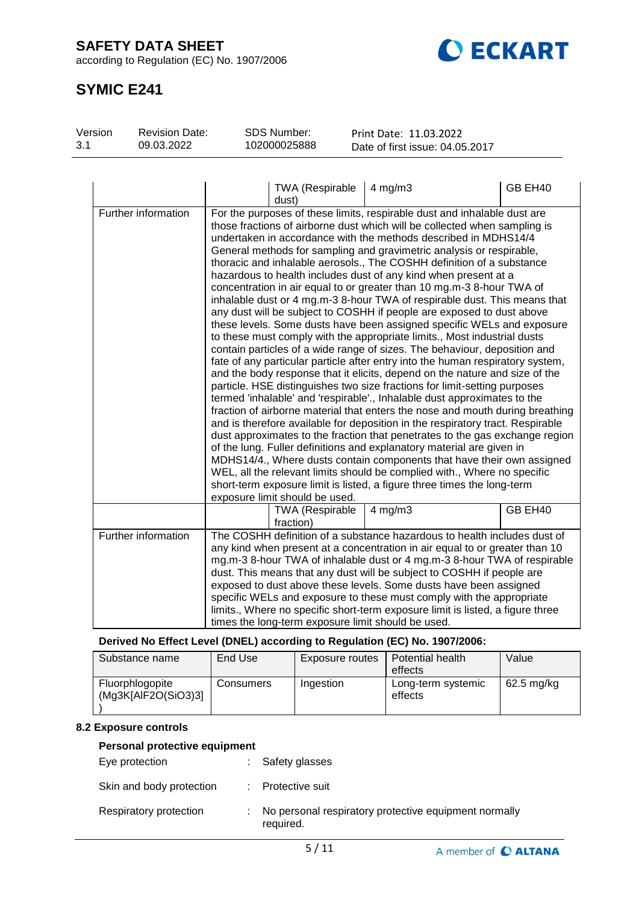# **SAFETY DATA SHEET**

according to Regulation (EC) No. 1907/2006



# **SYMIC E241**

| Version | <b>Revision Date:</b> | SDS Number:  | Print Date: 11.03.2022          |
|---------|-----------------------|--------------|---------------------------------|
| 3.1     | 09.03.2022            | 102000025888 | Date of first issue: 04.05.2017 |

|                     | <b>TWA (Respirable</b><br>dust)                                                                                                                                                                                                                                                                                                                                                                                                                                                                                                                                                                                                                                                                                                                                                                                                                                                                                                                                                                                                                                                                                                                                                                                                                                                                                                                                                                                                                                                                                                                                                                                                                                                                                                                                                                                                         | $4$ mg/m $3$ | GB EH40 |
|---------------------|-----------------------------------------------------------------------------------------------------------------------------------------------------------------------------------------------------------------------------------------------------------------------------------------------------------------------------------------------------------------------------------------------------------------------------------------------------------------------------------------------------------------------------------------------------------------------------------------------------------------------------------------------------------------------------------------------------------------------------------------------------------------------------------------------------------------------------------------------------------------------------------------------------------------------------------------------------------------------------------------------------------------------------------------------------------------------------------------------------------------------------------------------------------------------------------------------------------------------------------------------------------------------------------------------------------------------------------------------------------------------------------------------------------------------------------------------------------------------------------------------------------------------------------------------------------------------------------------------------------------------------------------------------------------------------------------------------------------------------------------------------------------------------------------------------------------------------------------|--------------|---------|
| Further information | For the purposes of these limits, respirable dust and inhalable dust are<br>those fractions of airborne dust which will be collected when sampling is<br>undertaken in accordance with the methods described in MDHS14/4<br>General methods for sampling and gravimetric analysis or respirable,<br>thoracic and inhalable aerosols., The COSHH definition of a substance<br>hazardous to health includes dust of any kind when present at a<br>concentration in air equal to or greater than 10 mg.m-3 8-hour TWA of<br>inhalable dust or 4 mg.m-3 8-hour TWA of respirable dust. This means that<br>any dust will be subject to COSHH if people are exposed to dust above<br>these levels. Some dusts have been assigned specific WELs and exposure<br>to these must comply with the appropriate limits., Most industrial dusts<br>contain particles of a wide range of sizes. The behaviour, deposition and<br>fate of any particular particle after entry into the human respiratory system,<br>and the body response that it elicits, depend on the nature and size of the<br>particle. HSE distinguishes two size fractions for limit-setting purposes<br>termed 'inhalable' and 'respirable'., Inhalable dust approximates to the<br>fraction of airborne material that enters the nose and mouth during breathing<br>and is therefore available for deposition in the respiratory tract. Respirable<br>dust approximates to the fraction that penetrates to the gas exchange region<br>of the lung. Fuller definitions and explanatory material are given in<br>MDHS14/4., Where dusts contain components that have their own assigned<br>WEL, all the relevant limits should be complied with., Where no specific<br>short-term exposure limit is listed, a figure three times the long-term<br>exposure limit should be used. |              |         |
|                     | <b>TWA (Respirable</b><br>fraction)                                                                                                                                                                                                                                                                                                                                                                                                                                                                                                                                                                                                                                                                                                                                                                                                                                                                                                                                                                                                                                                                                                                                                                                                                                                                                                                                                                                                                                                                                                                                                                                                                                                                                                                                                                                                     | $4$ mg/m $3$ | GB EH40 |
| Further information | The COSHH definition of a substance hazardous to health includes dust of<br>any kind when present at a concentration in air equal to or greater than 10<br>mg.m-3 8-hour TWA of inhalable dust or 4 mg.m-3 8-hour TWA of respirable<br>dust. This means that any dust will be subject to COSHH if people are<br>exposed to dust above these levels. Some dusts have been assigned<br>specific WELs and exposure to these must comply with the appropriate<br>limits., Where no specific short-term exposure limit is listed, a figure three<br>times the long-term exposure limit should be used.                                                                                                                                                                                                                                                                                                                                                                                                                                                                                                                                                                                                                                                                                                                                                                                                                                                                                                                                                                                                                                                                                                                                                                                                                                       |              |         |

**Derived No Effect Level (DNEL) according to Regulation (EC) No. 1907/2006:**

| Substance name                         | End Use   | Exposure routes | Potential health<br>effects   | Value      |
|----------------------------------------|-----------|-----------------|-------------------------------|------------|
| Fluorphlogopite<br>(Mg3K[AlF2O(SiO3)3] | Consumers | Ingestion       | Long-term systemic<br>effects | 62.5 mg/kg |

# **8.2 Exposure controls**

#### **Personal protective equipment**

| Eye protection           |    | : Safety glasses                                                   |
|--------------------------|----|--------------------------------------------------------------------|
| Skin and body protection |    | : Protective suit                                                  |
| Respiratory protection   | ÷. | No personal respiratory protective equipment normally<br>required. |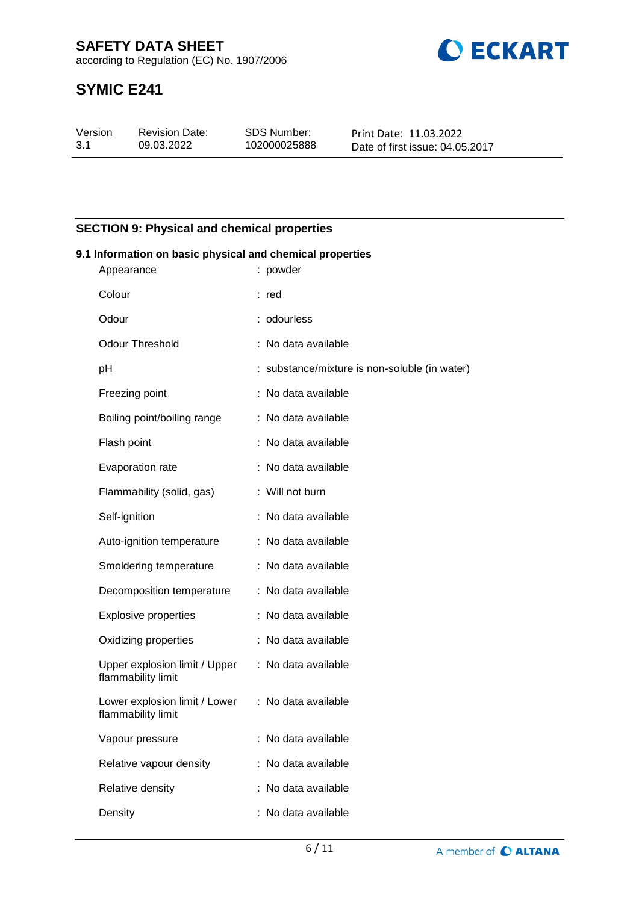

# **SYMIC E241**

| Version | <b>Revision Date:</b> | <b>SDS Number:</b> | Print Date: 11.03.2022          |
|---------|-----------------------|--------------------|---------------------------------|
| -3.1    | 09.03.2022            | 102000025888       | Date of first issue: 04.05.2017 |

# **SECTION 9: Physical and chemical properties**

| 9.1 Information on basic physical and chemical properties |                                                     |  |                                               |  |  |
|-----------------------------------------------------------|-----------------------------------------------------|--|-----------------------------------------------|--|--|
|                                                           | Appearance                                          |  | : powder                                      |  |  |
|                                                           | Colour                                              |  | : red                                         |  |  |
|                                                           | Odour                                               |  | : odourless                                   |  |  |
|                                                           | <b>Odour Threshold</b>                              |  | : No data available                           |  |  |
|                                                           | pH                                                  |  | : substance/mixture is non-soluble (in water) |  |  |
|                                                           | Freezing point                                      |  | : No data available                           |  |  |
|                                                           | Boiling point/boiling range                         |  | : No data available                           |  |  |
|                                                           | Flash point                                         |  | : No data available                           |  |  |
|                                                           | Evaporation rate                                    |  | : No data available                           |  |  |
|                                                           | Flammability (solid, gas)                           |  | : Will not burn                               |  |  |
|                                                           | Self-ignition                                       |  | : No data available                           |  |  |
|                                                           | Auto-ignition temperature                           |  | : No data available                           |  |  |
|                                                           | Smoldering temperature                              |  | : No data available                           |  |  |
|                                                           | Decomposition temperature                           |  | : No data available                           |  |  |
|                                                           | <b>Explosive properties</b>                         |  | : No data available                           |  |  |
|                                                           | Oxidizing properties                                |  | : No data available                           |  |  |
|                                                           | Upper explosion limit / Upper<br>flammability limit |  | : No data available                           |  |  |
|                                                           | Lower explosion limit / Lower<br>flammability limit |  | : No data available                           |  |  |
|                                                           | Vapour pressure                                     |  | No data available                             |  |  |
|                                                           | Relative vapour density                             |  | : No data available                           |  |  |
|                                                           | Relative density                                    |  | : No data available                           |  |  |
|                                                           | Density                                             |  | No data available                             |  |  |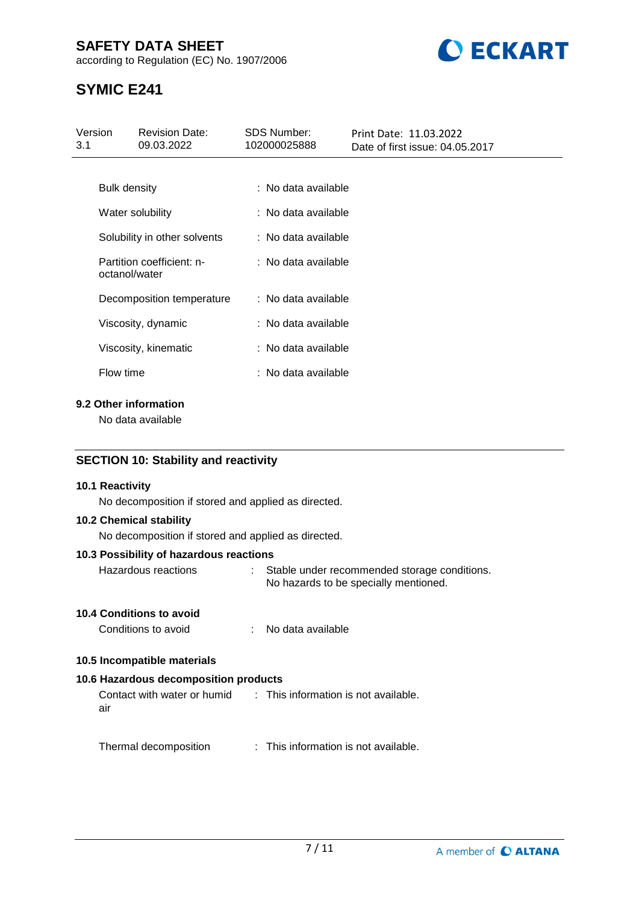# **SAFETY DATA SHEET**

according to Regulation (EC) No. 1907/2006



# **SYMIC E241**

| Version<br>3.1      | <b>Revision Date:</b><br>09.03.2022        | <b>SDS Number:</b><br>102000025888 | Print Date: 11.03.2022<br>Date of first issue: 04.05.2017 |
|---------------------|--------------------------------------------|------------------------------------|-----------------------------------------------------------|
|                     |                                            |                                    |                                                           |
| <b>Bulk density</b> |                                            | : No data available                |                                                           |
|                     | Water solubility                           | : No data available                |                                                           |
|                     | Solubility in other solvents               | : No data available                |                                                           |
|                     | Partition coefficient: n-<br>octanol/water | : No data available                |                                                           |
|                     | Decomposition temperature                  | : No data available                |                                                           |
|                     | Viscosity, dynamic                         | : No data available                |                                                           |
|                     | Viscosity, kinematic                       | : No data available                |                                                           |
| Flow time           |                                            | : No data available                |                                                           |
|                     |                                            |                                    |                                                           |

# **9.2 Other information**

No data available

### **SECTION 10: Stability and reactivity**

#### **10.1 Reactivity**

No decomposition if stored and applied as directed.

#### **10.2 Chemical stability**

No decomposition if stored and applied as directed.

#### **10.3 Possibility of hazardous reactions**

| Hazardous reactions | Stable under recommended storage conditions. |
|---------------------|----------------------------------------------|
|                     | No hazards to be specially mentioned.        |

#### **10.4 Conditions to avoid**

| Conditions to avoid<br>No data available |
|------------------------------------------|
|------------------------------------------|

# **10.5 Incompatible materials**

# **10.6 Hazardous decomposition products**

Contact with water or humid air : This information is not available.

Thermal decomposition : This information is not available.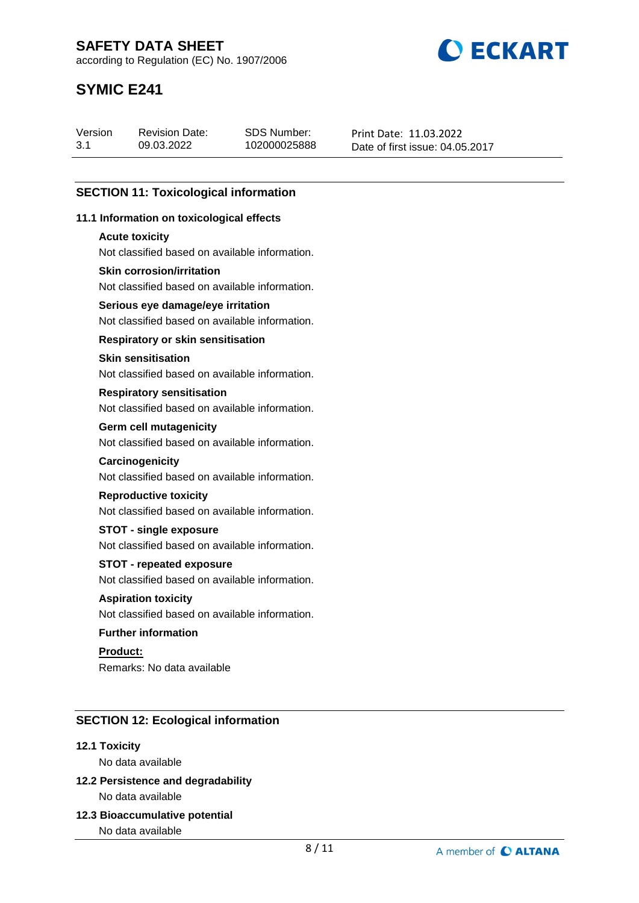**BECKART** 

according to Regulation (EC) No. 1907/2006

# **SYMIC E241**

| 3.1<br>102000025888<br>09.03.2022 | Print Date: 11.03.2022<br>Date of first issue: 04.05.2017 |
|-----------------------------------|-----------------------------------------------------------|
|-----------------------------------|-----------------------------------------------------------|

# **SECTION 11: Toxicological information**

#### **11.1 Information on toxicological effects**

#### **Acute toxicity**

Not classified based on available information.

#### **Skin corrosion/irritation**

Not classified based on available information.

### **Serious eye damage/eye irritation**

Not classified based on available information.

#### **Respiratory or skin sensitisation**

#### **Skin sensitisation**

Not classified based on available information.

#### **Respiratory sensitisation**

Not classified based on available information.

#### **Germ cell mutagenicity**

Not classified based on available information.

#### **Carcinogenicity**

Not classified based on available information.

#### **Reproductive toxicity**

Not classified based on available information.

#### **STOT - single exposure**

Not classified based on available information.

#### **STOT - repeated exposure**

Not classified based on available information.

#### **Aspiration toxicity**

Not classified based on available information.

#### **Further information**

**Product:** Remarks: No data available

### **SECTION 12: Ecological information**

#### **12.1 Toxicity**

No data available

# **12.2 Persistence and degradability** No data available

**12.3 Bioaccumulative potential**

No data available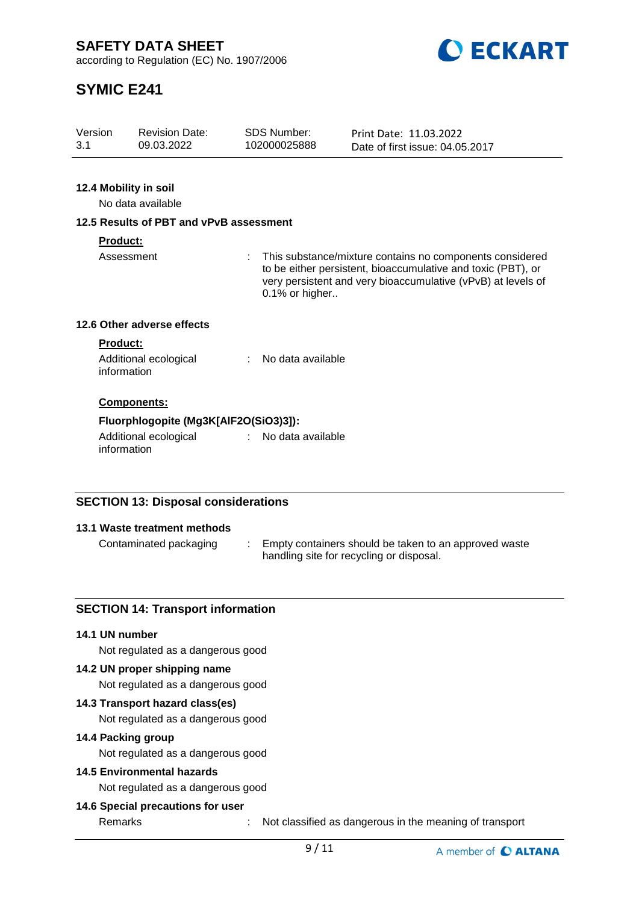

# **SYMIC E241**

# **12.4 Mobility in soil**

No data available

#### **12.5 Results of PBT and vPvB assessment**

#### **Product:**

Assessment : This substance/mixture contains no components considered to be either persistent, bioaccumulative and toxic (PBT), or very persistent and very bioaccumulative (vPvB) at levels of 0.1% or higher..

### **12.6 Other adverse effects**

#### **Product:**

| Additional ecological | No data available |
|-----------------------|-------------------|
| information           |                   |

#### **Components:**

#### **Fluorphlogopite (Mg3K[AlF2O(SiO3)3]):**

Additional ecological information : No data available

# **SECTION 13: Disposal considerations**

#### **13.1 Waste treatment methods**

Contaminated packaging : Empty containers should be taken to an approved waste handling site for recycling or disposal.

#### **SECTION 14: Transport information**

#### **14.1 UN number**

Not regulated as a dangerous good

#### **14.2 UN proper shipping name**

Not regulated as a dangerous good

#### **14.3 Transport hazard class(es)**

Not regulated as a dangerous good

#### **14.4 Packing group**

Not regulated as a dangerous good

# **14.5 Environmental hazards**

Not regulated as a dangerous good

### **14.6 Special precautions for user**

Remarks : Not classified as dangerous in the meaning of transport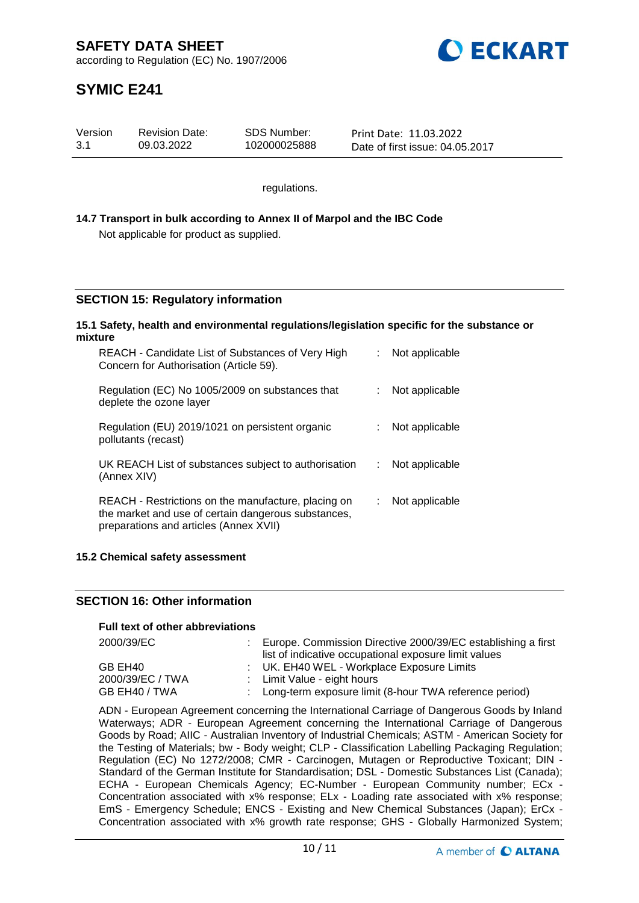

# **SYMIC E241**

| Version | <b>Revision Date:</b> | SDS Number:  | Print Date: 11.03.2022          |
|---------|-----------------------|--------------|---------------------------------|
| 3.1     | 09.03.2022            | 102000025888 | Date of first issue: 04.05.2017 |

regulations.

### **14.7 Transport in bulk according to Annex II of Marpol and the IBC Code** Not applicable for product as supplied.

### **SECTION 15: Regulatory information**

#### **15.1 Safety, health and environmental regulations/legislation specific for the substance or mixture**

| REACH - Candidate List of Substances of Very High<br>Concern for Authorisation (Article 59).                                                         |    | : Not applicable |
|------------------------------------------------------------------------------------------------------------------------------------------------------|----|------------------|
| Regulation (EC) No 1005/2009 on substances that<br>deplete the ozone layer                                                                           |    | Not applicable   |
| Regulation (EU) 2019/1021 on persistent organic<br>pollutants (recast)                                                                               |    | Not applicable   |
| UK REACH List of substances subject to authorisation<br>(Annex XIV)                                                                                  | t. | Not applicable   |
| REACH - Restrictions on the manufacture, placing on<br>the market and use of certain dangerous substances,<br>preparations and articles (Annex XVII) |    | Not applicable   |

#### **15.2 Chemical safety assessment**

#### **SECTION 16: Other information**

#### **Full text of other abbreviations**

| 2000/39/EC       | Europe. Commission Directive 2000/39/EC establishing a first<br>list of indicative occupational exposure limit values |
|------------------|-----------------------------------------------------------------------------------------------------------------------|
| GB EH40          | : UK. EH40 WEL - Workplace Exposure Limits                                                                            |
| 2000/39/EC / TWA | : Limit Value - eight hours                                                                                           |
| GB EH40 / TWA    | : Long-term exposure limit (8-hour TWA reference period)                                                              |

ADN - European Agreement concerning the International Carriage of Dangerous Goods by Inland Waterways; ADR - European Agreement concerning the International Carriage of Dangerous Goods by Road; AIIC - Australian Inventory of Industrial Chemicals; ASTM - American Society for the Testing of Materials; bw - Body weight; CLP - Classification Labelling Packaging Regulation; Regulation (EC) No 1272/2008; CMR - Carcinogen, Mutagen or Reproductive Toxicant; DIN - Standard of the German Institute for Standardisation; DSL - Domestic Substances List (Canada); ECHA - European Chemicals Agency; EC-Number - European Community number; ECx - Concentration associated with x% response; ELx - Loading rate associated with x% response; EmS - Emergency Schedule; ENCS - Existing and New Chemical Substances (Japan); ErCx - Concentration associated with x% growth rate response; GHS - Globally Harmonized System;